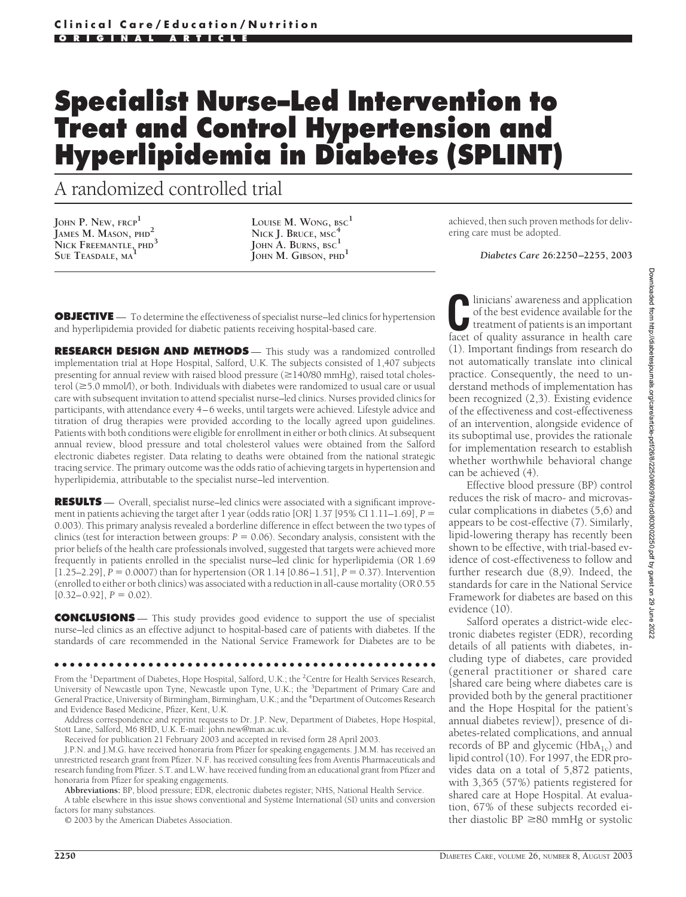# **Specialist Nurse–Led Intervention to Treat and Control Hypertension and Hyperlipidemia in Diabetes (SPLINT)**

A randomized controlled trial

**JOHN P. NEW, FRCP<sup>1</sup> JAMES M. MASON, PHD<sup>2</sup> NICK FREEMANTLE, PHD<sup>3</sup> SUE TEASDALE, MA<sup>1</sup>**

**LOUISE M. WONG, BSC<sup>1</sup> NICK J. BRUCE, MSC<sup>4</sup> JOHN A. BURNS, BSC<sup>1</sup> JOHN M. GIBSON, PHD<sup>1</sup>**

achieved, then such proven methods for delivering care must be adopted.

*Diabetes Care* **26:2250 –2255, 2003**

**OBJECTIVE** — To determine the effectiveness of specialist nurse–led clinics for hypertension and hyperlipidemia provided for diabetic patients receiving hospital-based care.

**RESEARCH DESIGN AND METHODS** — This study was a randomized controlled implementation trial at Hope Hospital, Salford, U.K. The subjects consisted of 1,407 subjects presenting for annual review with raised blood pressure  $(\geq$ 140/80 mmHg), raised total cholesterol (≥5.0 mmol/l), or both. Individuals with diabetes were randomized to usual care or usual care with subsequent invitation to attend specialist nurse–led clinics. Nurses provided clinics for participants, with attendance every 4–6 weeks, until targets were achieved. Lifestyle advice and titration of drug therapies were provided according to the locally agreed upon guidelines. Patients with both conditions were eligible for enrollment in either or both clinics. At subsequent annual review, blood pressure and total cholesterol values were obtained from the Salford electronic diabetes register. Data relating to deaths were obtained from the national strategic tracing service. The primary outcome was the odds ratio of achieving targets in hypertension and hyperlipidemia, attributable to the specialist nurse–led intervention.

RESULTS — Overall, specialist nurse-led clinics were associated with a significant improvement in patients achieving the target after 1 year (odds ratio [OR] 1.37 [95% CI 1.11–1.69], *P* 0.003). This primary analysis revealed a borderline difference in effect between the two types of clinics (test for interaction between groups:  $P = 0.06$ ). Secondary analysis, consistent with the prior beliefs of the health care professionals involved, suggested that targets were achieved more frequently in patients enrolled in the specialist nurse–led clinic for hyperlipidemia (OR 1.69  $[1.25-2.29]$ ,  $P = 0.0007$ ) than for hypertension (OR 1.14  $[0.86-1.51]$ ,  $P = 0.37$ ). Intervention (enrolled to either or both clinics) was associated with a reduction in all-cause mortality (OR 0.55  $[0.32-0.92]$ ,  $P = 0.02$ ).

**CONCLUSIONS** — This study provides good evidence to support the use of specialist nurse–led clinics as an effective adjunct to hospital-based care of patients with diabetes. If the standards of care recommended in the National Service Framework for Diabetes are to be

●●●●●●●●●●●●●●●●●●●●●●●●●●●●●●●●●●●●●●●●●●●●●●●●●

From the <sup>1</sup>Department of Diabetes, Hope Hospital, Salford, U.K.; the <sup>2</sup>Centre for Health Services Research, University of Newcastle upon Tyne, Newcastle upon Tyne, U.K.; the <sup>3</sup>Department of Primary Care and General Practice, University of Birmingham, Birmingham, U.K.; and the <sup>4</sup>Department of Outcomes Research and Evidence Based Medicine, Pfizer, Kent, U.K.

Address correspondence and reprint requests to Dr. J.P. New, Department of Diabetes, Hope Hospital, Stott Lane, Salford, M6 8HD, U.K. E-mail: john.new@man.ac.uk.

Received for publication 21 February 2003 and accepted in revised form 28 April 2003.

J.P.N. and J.M.G. have received honoraria from Pfizer for speaking engagements. J.M.M. has received an unrestricted research grant from Pfizer. N.F. has received consulting fees from Aventis Pharmaceuticals and research funding from Pfizer. S.T. and L.W. have received funding from an educational grant from Pfizer and honoraria from Pfizer for speaking engagements.

**Abbreviations:** BP, blood pressure; EDR, electronic diabetes register; NHS, National Health Service.

A table elsewhere in this issue shows conventional and Système International (SI) units and conversion factors for many substances.

© 2003 by the American Diabetes Association.

**C**linicians' awareness and application<br>
of the best evidence available for the<br>
treatment of patients is an important<br>
facet of quality assurance in health care of the best evidence available for the facet of quality assurance in health care (1). Important findings from research do not automatically translate into clinical practice. Consequently, the need to understand methods of implementation has been recognized (2,3). Existing evidence of the effectiveness and cost-effectiveness of an intervention, alongside evidence of its suboptimal use, provides the rationale for implementation research to establish whether worthwhile behavioral change can be achieved (4).

Effective blood pressure (BP) control reduces the risk of macro- and microvascular complications in diabetes (5,6) and appears to be cost-effective (7). Similarly, lipid-lowering therapy has recently been shown to be effective, with trial-based evidence of cost-effectiveness to follow and further research due (8,9). Indeed, the standards for care in the National Service Framework for diabetes are based on this evidence (10).

Salford operates a district-wide electronic diabetes register (EDR), recording details of all patients with diabetes, including type of diabetes, care provided (general practitioner or shared care [shared care being where diabetes care is provided both by the general practitioner and the Hope Hospital for the patient's annual diabetes review]), presence of diabetes-related complications, and annual records of BP and glycemic  $(HbA_{1c})$  and lipid control (10). For 1997, the EDR provides data on a total of 5,872 patients, with 3,365 (57%) patients registered for shared care at Hope Hospital. At evaluation, 67% of these subjects recorded either diastolic  $BP \geq 80$  mmHg or systolic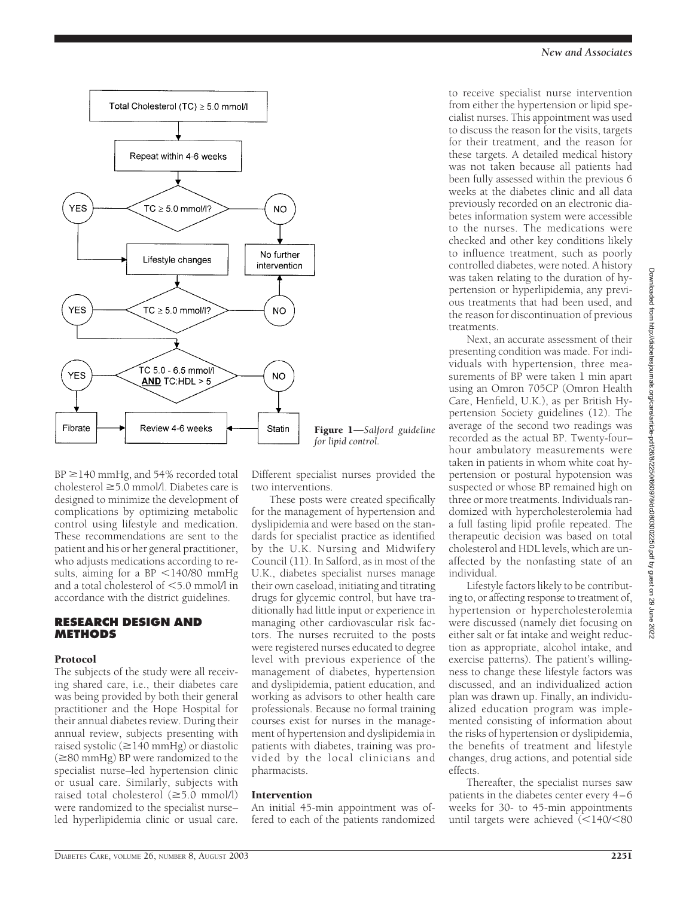

 $BP \geq 140$  mmHg, and 54% recorded total cholesterol 5.0 mmol/l. Diabetes care is designed to minimize the development of complications by optimizing metabolic control using lifestyle and medication. These recommendations are sent to the patient and his or her general practitioner, who adjusts medications according to results, aiming for a  $BP < 140/80$  mmHg and a total cholesterol of  $<$  5.0 mmol/l in accordance with the district guidelines.

#### **RESEARCH DESIGN AND METHODS**

#### Protocol

The subjects of the study were all receiving shared care, i.e., their diabetes care was being provided by both their general practitioner and the Hope Hospital for their annual diabetes review. During their annual review, subjects presenting with raised systolic ( $\geq$ 140 mmHg) or diastolic  $(\geq 80$  mmHg) BP were randomized to the specialist nurse–led hypertension clinic or usual care. Similarly, subjects with raised total cholesterol  $(\geq 5.0 \text{ mmol/l})$ were randomized to the specialist nurse– led hyperlipidemia clinic or usual care.

Different specialist nurses provided the two interventions.

These posts were created specifically for the management of hypertension and dyslipidemia and were based on the standards for specialist practice as identified by the U.K. Nursing and Midwifery Council (11). In Salford, as in most of the U.K., diabetes specialist nurses manage their own caseload, initiating and titrating drugs for glycemic control, but have traditionally had little input or experience in managing other cardiovascular risk factors. The nurses recruited to the posts were registered nurses educated to degree level with previous experience of the management of diabetes, hypertension and dyslipidemia, patient education, and working as advisors to other health care professionals. Because no formal training courses exist for nurses in the management of hypertension and dyslipidemia in patients with diabetes, training was provided by the local clinicians and pharmacists.

#### Intervention

An initial 45-min appointment was offered to each of the patients randomized to receive specialist nurse intervention from either the hypertension or lipid specialist nurses. This appointment was used to discuss the reason for the visits, targets for their treatment, and the reason for these targets. A detailed medical history was not taken because all patients had been fully assessed within the previous 6 weeks at the diabetes clinic and all data previously recorded on an electronic diabetes information system were accessible to the nurses. The medications were checked and other key conditions likely to influence treatment, such as poorly controlled diabetes, were noted. A history was taken relating to the duration of hypertension or hyperlipidemia, any previous treatments that had been used, and the reason for discontinuation of previous treatments.

Next, an accurate assessment of their presenting condition was made. For individuals with hypertension, three measurements of BP were taken 1 min apart using an Omron 705CP (Omron Health Care, Henfield, U.K.), as per British Hypertension Society guidelines (12). The average of the second two readings was recorded as the actual BP. Twenty-four– hour ambulatory measurements were taken in patients in whom white coat hypertension or postural hypotension was suspected or whose BP remained high on three or more treatments. Individuals randomized with hypercholesterolemia had a full fasting lipid profile repeated. The therapeutic decision was based on total cholesterol and HDL levels, which are unaffected by the nonfasting state of an individual.

Lifestyle factors likely to be contributing to, or affecting response to treatment of, hypertension or hypercholesterolemia were discussed (namely diet focusing on either salt or fat intake and weight reduction as appropriate, alcohol intake, and exercise patterns). The patient's willingness to change these lifestyle factors was discussed, and an individualized action plan was drawn up. Finally, an individualized education program was implemented consisting of information about the risks of hypertension or dyslipidemia, the benefits of treatment and lifestyle changes, drug actions, and potential side effects.

Thereafter, the specialist nurses saw patients in the diabetes center every 4–6 weeks for 30- to 45-min appointments until targets were achieved (<140/<80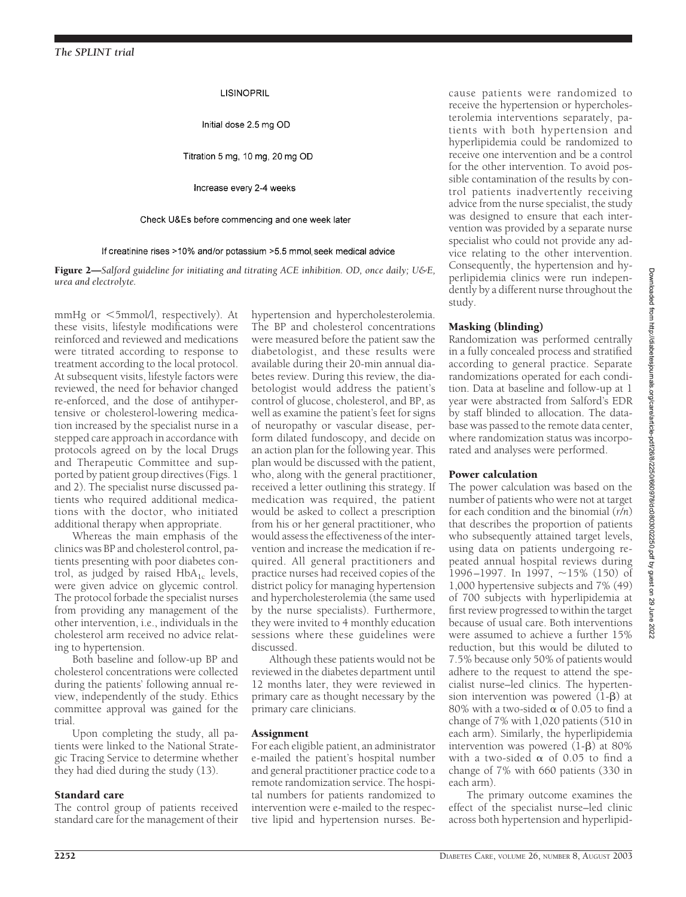#### **LISINOPRIL**

Initial dose 2.5 mg OD

Titration 5 mg, 10 mg, 20 mg OD

Increase every 2-4 weeks

Check U&Es before commencing and one week later

If creatinine rises >10% and/or potassium >5.5 mmol, seek medical advice

Figure 2—*Salford guideline for initiating and titrating ACE inhibition. OD, once daily; U&E, urea and electrolyte.*

mmHg or  $\leq$ 5mmol/l, respectively). At these visits, lifestyle modifications were reinforced and reviewed and medications were titrated according to response to treatment according to the local protocol. At subsequent visits, lifestyle factors were reviewed, the need for behavior changed re-enforced, and the dose of antihypertensive or cholesterol-lowering medication increased by the specialist nurse in a stepped care approach in accordance with protocols agreed on by the local Drugs and Therapeutic Committee and supported by patient group directives (Figs. 1 and 2). The specialist nurse discussed patients who required additional medications with the doctor, who initiated additional therapy when appropriate.

Whereas the main emphasis of the clinics was BP and cholesterol control, patients presenting with poor diabetes control, as judged by raised  $HbA_{1c}$  levels, were given advice on glycemic control. The protocol forbade the specialist nurses from providing any management of the other intervention, i.e., individuals in the cholesterol arm received no advice relating to hypertension.

Both baseline and follow-up BP and cholesterol concentrations were collected during the patients' following annual review, independently of the study. Ethics committee approval was gained for the trial.

Upon completing the study, all patients were linked to the National Strategic Tracing Service to determine whether they had died during the study (13).

#### Standard care

The control group of patients received standard care for the management of their hypertension and hypercholesterolemia. The BP and cholesterol concentrations were measured before the patient saw the diabetologist, and these results were available during their 20-min annual diabetes review. During this review, the diabetologist would address the patient's control of glucose, cholesterol, and BP, as well as examine the patient's feet for signs of neuropathy or vascular disease, perform dilated fundoscopy, and decide on an action plan for the following year. This plan would be discussed with the patient, who, along with the general practitioner, received a letter outlining this strategy. If medication was required, the patient would be asked to collect a prescription from his or her general practitioner, who would assess the effectiveness of the intervention and increase the medication if required. All general practitioners and practice nurses had received copies of the district policy for managing hypertension and hypercholesterolemia (the same used by the nurse specialists). Furthermore, they were invited to 4 monthly education sessions where these guidelines were discussed.

Although these patients would not be reviewed in the diabetes department until 12 months later, they were reviewed in primary care as thought necessary by the primary care clinicians.

#### **Assignment**

For each eligible patient, an administrator e-mailed the patient's hospital number and general practitioner practice code to a remote randomization service. The hospital numbers for patients randomized to intervention were e-mailed to the respective lipid and hypertension nurses. Because patients were randomized to receive the hypertension or hypercholesterolemia interventions separately, patients with both hypertension and hyperlipidemia could be randomized to receive one intervention and be a control for the other intervention. To avoid possible contamination of the results by control patients inadvertently receiving advice from the nurse specialist, the study was designed to ensure that each intervention was provided by a separate nurse specialist who could not provide any advice relating to the other intervention. Consequently, the hypertension and hyperlipidemia clinics were run independently by a different nurse throughout the study.

## Masking (blinding)

Randomization was performed centrally in a fully concealed process and stratified according to general practice. Separate randomizations operated for each condition. Data at baseline and follow-up at 1 year were abstracted from Salford's EDR by staff blinded to allocation. The database was passed to the remote data center, where randomization status was incorporated and analyses were performed.

#### Power calculation

The power calculation was based on the number of patients who were not at target for each condition and the binomial (*r*/*n*) that describes the proportion of patients who subsequently attained target levels, using data on patients undergoing repeated annual hospital reviews during 1996–1997. In 1997,  $\sim$ 15% (150) of 1,000 hypertensive subjects and 7% (49) of 700 subjects with hyperlipidemia at first review progressed to within the target because of usual care. Both interventions were assumed to achieve a further 15% reduction, but this would be diluted to 7.5% because only 50% of patients would adhere to the request to attend the specialist nurse–led clinics. The hypertension intervention was powered  $(1-\beta)$  at 80% with a two-sided  $\alpha$  of 0.05 to find a change of 7% with 1,020 patients (510 in each arm). Similarly, the hyperlipidemia intervention was powered  $(1-\beta)$  at 80% with a two-sided  $\alpha$  of 0.05 to find a change of 7% with 660 patients (330 in each arm).

The primary outcome examines the effect of the specialist nurse–led clinic across both hypertension and hyperlipid-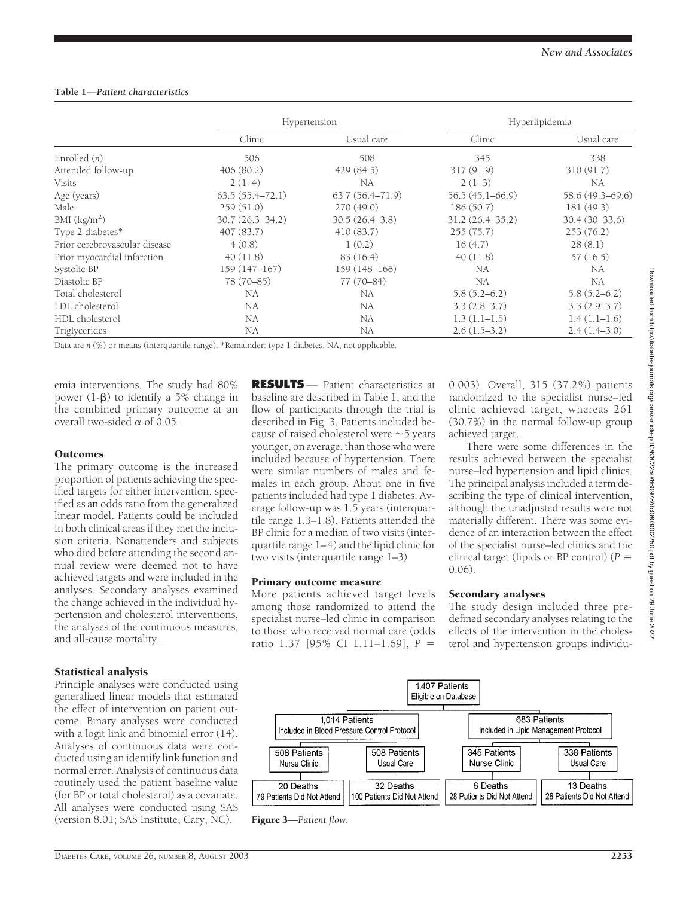## **Table 1—***Patient characteristics*

|                               | Hypertension        |                     | Hyperlipidemia      |                  |
|-------------------------------|---------------------|---------------------|---------------------|------------------|
|                               | Clinic              | Usual care          | Clinic              | Usual care       |
| Enrolled $(n)$                | 506                 | 508                 | 345                 | 338              |
| Attended follow-up            | 406(80.2)           | 429 (84.5)          | 317 (91.9)          | 310(91.7)        |
| <b>Visits</b>                 | $2(1-4)$            | NA                  | $2(1-3)$            | NA               |
| Age (years)                   | $63.5(55.4 - 72.1)$ | $63.7(56.4 - 71.9)$ | 56.5 (45.1–66.9)    | 58.6 (49.3-69.6) |
| Male                          | 259(51.0)           | 270(49.0)           | 186 (50.7)          | 181 (49.3)       |
| BMI $(kg/m2)$                 | $30.7(26.3 - 34.2)$ | $30.5(26.4-3.8)$    | $31.2(26.4 - 35.2)$ | $30.4(30-33.6)$  |
| Type 2 diabetes*              | 407(83.7)           | 410(83.7)           | 255(75.7)           | 253(76.2)        |
| Prior cerebrovascular disease | 4(0.8)              | 1(0.2)              | 16(4.7)             | 28(8.1)          |
| Prior myocardial infarction   | 40(11.8)            | 83 (16.4)           | 40(11.8)            | 57(16.5)         |
| Systolic BP                   | 159 (147–167)       | 159 (148-166)       | NA                  | NA               |
| Diastolic BP                  | 78 (70-85)          | 77 (70-84)          | NA.                 | NA               |
| Total cholesterol             | NA                  | NA                  | $5.8(5.2 - 6.2)$    | $5.8(5.2 - 6.2)$ |
| LDL cholesterol               | NA                  | NA                  | $3.3(2.8-3.7)$      | $3.3(2.9 - 3.7)$ |
| HDL cholesterol               | NA.                 | NA                  | $1.3(1.1-1.5)$      | $1.4(1.1-1.6)$   |
| Triglycerides                 | NA                  | NA                  | $2.6(1.5-3.2)$      | $2.4(1.4-3.0)$   |

Data are *n* (%) or means (interquartile range). \*Remainder: type 1 diabetes. NA, not applicable.

emia interventions. The study had 80% power  $(1-\beta)$  to identify a 5% change in the combined primary outcome at an overall two-sided  $\alpha$  of 0.05.

### **Outcomes**

The primary outcome is the increased proportion of patients achieving the specified targets for either intervention, specified as an odds ratio from the generalized linear model. Patients could be included in both clinical areas if they met the inclusion criteria. Nonattenders and subjects who died before attending the second annual review were deemed not to have achieved targets and were included in the analyses. Secondary analyses examined the change achieved in the individual hypertension and cholesterol interventions, the analyses of the continuous measures, and all-cause mortality.

## Statistical analysis

Principle analyses were conducted using generalized linear models that estimated the effect of intervention on patient outcome. Binary analyses were conducted with a logit link and binomial error (14). Analyses of continuous data were conducted using an identify link function and normal error. Analysis of continuous data routinely used the patient baseline value (for BP or total cholesterol) as a covariate. All analyses were conducted using SAS (version 8.01; SAS Institute, Cary, NC).

**RESULTS** — Patient characteristics at baseline are described in Table 1, and the flow of participants through the trial is described in Fig. 3. Patients included because of raised cholesterol were  $\sim$  5 years younger, on average, than those who were included because of hypertension. There were similar numbers of males and females in each group. About one in five patients included had type 1 diabetes. Average follow-up was 1.5 years (interquartile range 1.3–1.8). Patients attended the BP clinic for a median of two visits (interquartile range 1–4) and the lipid clinic for two visits (interquartile range 1–3)

# Primary outcome measure

More patients achieved target levels among those randomized to attend the specialist nurse–led clinic in comparison to those who received normal care (odds ratio 1.37 [95% CI 1.11–1.69], *P*

0.003). Overall, 315 (37.2%) patients randomized to the specialist nurse–led clinic achieved target, whereas 261 (30.7%) in the normal follow-up group achieved target.

There were some differences in the results achieved between the specialist nurse–led hypertension and lipid clinics. The principal analysis included a term describing the type of clinical intervention, although the unadjusted results were not materially different. There was some evidence of an interaction between the effect of the specialist nurse–led clinics and the clinical target (lipids or BP control) (*P*  $(0.06)$ .

# Secondary analyses

The study design included three predefined secondary analyses relating to the effects of the intervention in the cholesterol and hypertension groups individu-



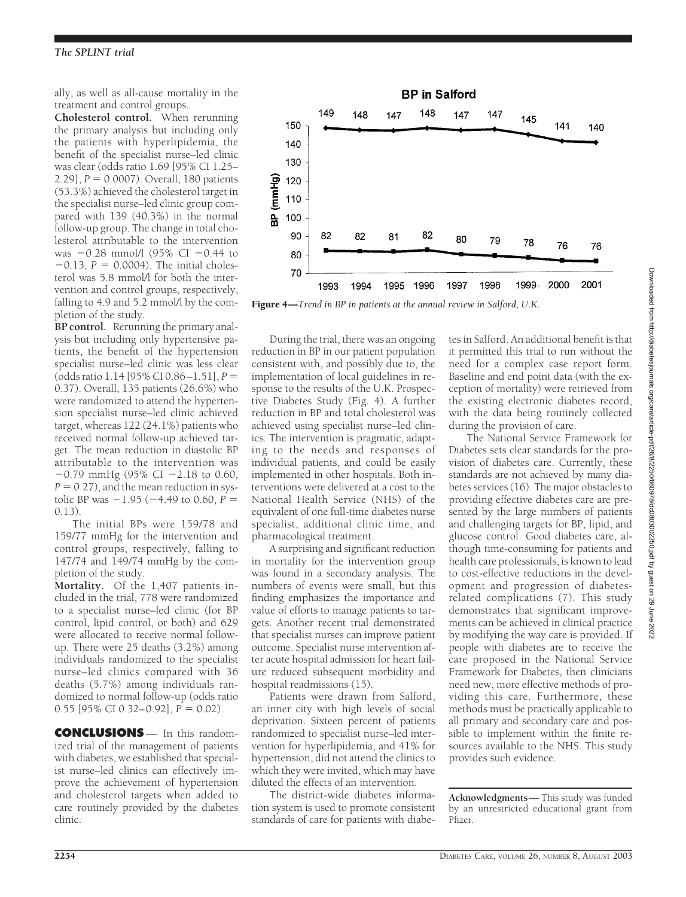ally, as well as all-cause mortality in the treatment and control groups.

**Cholesterol control.** When rerunning the primary analysis but including only the patients with hyperlipidemia, the benefit of the specialist nurse–led clinic was clear (odds ratio 1.69 [95% CI 1.25–  $2.29$ ],  $P = 0.0007$ ). Overall, 180 patients (53.3%) achieved the cholesterol target in the specialist nurse–led clinic group compared with 139 (40.3%) in the normal follow-up group. The change in total cholesterol attributable to the intervention was  $-0.28$  mmol/l (95% CI  $-0.44$  to  $-0.13$ ,  $P = 0.0004$ ). The initial cholesterol was 5.8 mmol/l for both the intervention and control groups, respectively, falling to 4.9 and 5.2 mmol/l by the completion of the study.

**BP control.** Rerunning the primary analysis but including only hypertensive patients, the benefit of the hypertension specialist nurse–led clinic was less clear (odds ratio 1.14 [95% CI 0.86–1.51], *P* 0.37). Overall, 135 patients (26.6%) who were randomized to attend the hypertension specialist nurse–led clinic achieved target, whereas 122 (24.1%) patients who received normal follow-up achieved target. The mean reduction in diastolic BP attributable to the intervention was  $-0.79$  mmHg (95% CI  $-2.18$  to 0.60,  $P = 0.27$ , and the mean reduction in systolic BP was  $-1.95$  ( $-4.49$  to 0.60,  $P =$ 0.13).

The initial BPs were 159/78 and 159/77 mmHg for the intervention and control groups, respectively, falling to 147/74 and 149/74 mmHg by the completion of the study.

**Mortality.** Of the 1,407 patients included in the trial, 778 were randomized to a specialist nurse–led clinic (for BP control, lipid control, or both) and 629 were allocated to receive normal followup. There were 25 deaths (3.2%) among individuals randomized to the specialist nurse–led clinics compared with 36 deaths (5.7%) among individuals randomized to normal follow-up (odds ratio  $0.55$  [95% CI 0.32–0.92],  $P = 0.02$ ).

**CONCLUSIONS** — In this randomized trial of the management of patients with diabetes, we established that specialist nurse–led clinics can effectively improve the achievement of hypertension and cholesterol targets when added to care routinely provided by the diabetes clinic.



Figure 4—*Trend in BP in patients at the annual review in Salford, U.K.*

During the trial, there was an ongoing reduction in BP in our patient population consistent with, and possibly due to, the implementation of local guidelines in response to the results of the U.K. Prospective Diabetes Study (Fig. 4). A further reduction in BP and total cholesterol was achieved using specialist nurse–led clinics. The intervention is pragmatic, adapting to the needs and responses of individual patients, and could be easily implemented in other hospitals. Both interventions were delivered at a cost to the National Health Service (NHS) of the equivalent of one full-time diabetes nurse specialist, additional clinic time, and pharmacological treatment.

A surprising and significant reduction in mortality for the intervention group was found in a secondary analysis. The numbers of events were small, but this finding emphasizes the importance and value of efforts to manage patients to targets. Another recent trial demonstrated that specialist nurses can improve patient outcome. Specialist nurse intervention after acute hospital admission for heart failure reduced subsequent morbidity and hospital readmissions (15).

Patients were drawn from Salford, an inner city with high levels of social deprivation. Sixteen percent of patients randomized to specialist nurse–led intervention for hyperlipidemia, and 41% for hypertension, did not attend the clinics to which they were invited, which may have diluted the effects of an intervention.

The district-wide diabetes information system is used to promote consistent standards of care for patients with diabetes in Salford. An additional benefit is that it permitted this trial to run without the need for a complex case report form. Baseline and end point data (with the exception of mortality) were retrieved from the existing electronic diabetes record, with the data being routinely collected during the provision of care.

The National Service Framework for Diabetes sets clear standards for the provision of diabetes care. Currently, these standards are not achieved by many diabetes services (16). The major obstacles to providing effective diabetes care are presented by the large numbers of patients and challenging targets for BP, lipid, and glucose control. Good diabetes care, although time-consuming for patients and health care professionals, is known to lead to cost-effective reductions in the development and progression of diabetesrelated complications (7). This study demonstrates that significant improvements can be achieved in clinical practice by modifying the way care is provided. If people with diabetes are to receive the care proposed in the National Service Framework for Diabetes, then clinicians need new, more effective methods of providing this care. Furthermore, these methods must be practically applicable to all primary and secondary care and possible to implement within the finite resources available to the NHS. This study provides such evidence.

**Acknowledgments**— This study was funded by an unrestricted educational grant from Pfizer.